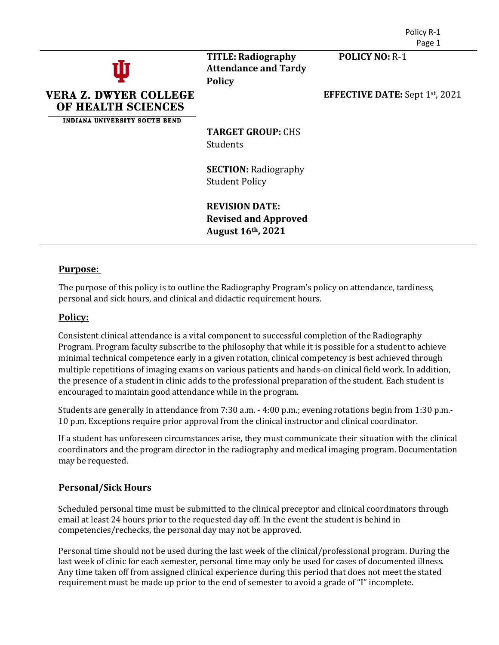



**TITLE: Radiography POLICY NO:** R-1 **Attendance and Tardy Policy**

**EFFECTIVE DATE:** Sept 1st, 2021

**TARGET GROUP:** CHS **Students** 

**SECTION:** Radiography Student Policy

**REVISION DATE: Revised and Approved August 16th, 2021**

## **Purpose:**

The purpose of this policy is to outline the Radiography Program's policy on attendance, tardiness, personal and sick hours, and clinical and didactic requirement hours.

## **Policy:**

Consistent clinical attendance is a vital component to successful completion of the Radiography Program. Program faculty subscribe to the philosophy that while it is possible for a student to achieve minimal technical competence early in a given rotation, clinical competency is best achieved through multiple repetitions of imaging exams on various patients and hands-on clinical field work. In addition, the presence of a student in clinic adds to the professional preparation of the student. Each student is encouraged to maintain good attendance while in the program.

Students are generally in attendance from 7:30 a.m. - 4:00 p.m.; evening rotations begin from 1:30 p.m.- 10 p.m. Exceptions require prior approval from the clinical instructor and clinical coordinator.

If a student has unforeseen circumstances arise, they must communicate their situation with the clinical coordinators and the program director in the radiography and medical imaging program. Documentation may be requested.

# **Personal/Sick Hours**

Scheduled personal time must be submitted to the clinical preceptor and clinical coordinators through email at least 24 hours prior to the requested day off. In the event the student is behind in competencies/rechecks, the personal day may not be approved.

Personal time should not be used during the last week of the clinical/professional program. During the last week of clinic for each semester, personal time may only be used for cases of documented illness. Any time taken off from assigned clinical experience during this period that does not meet the stated requirement must be made up prior to the end of semester to avoid a grade of "I" incomplete.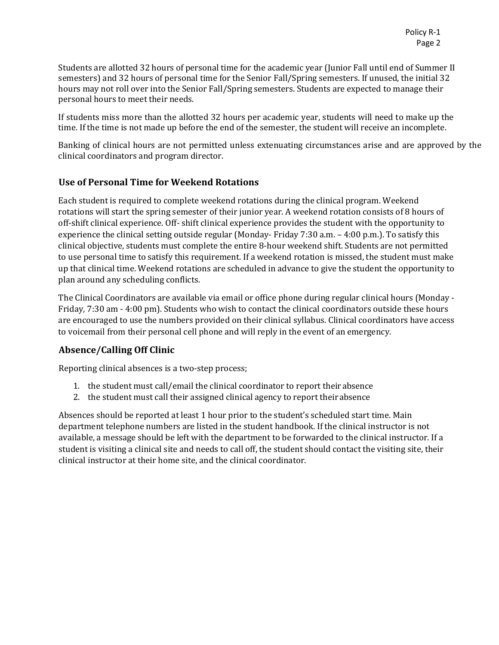Students are allotted 32 hours of personal time for the academic year (Junior Fall until end of Summer II semesters) and 32 hours of personal time for the Senior Fall/Spring semesters. If unused, the initial 32 hours may not roll over into the Senior Fall/Spring semesters. Students are expected to manage their personal hours to meet their needs.

If students miss more than the allotted 32 hours per academic year, students will need to make up the time. If the time is not made up before the end of the semester, the student will receive an incomplete.

Banking of clinical hours are not permitted unless extenuating circumstances arise and are approved by the clinical coordinators and program director.

# **Use of Personal Time for Weekend Rotations**

Each student is required to complete weekend rotations during the clinical program. Weekend rotations will start the spring semester of their junior year. A weekend rotation consists of 8 hours of off-shift clinical experience. Off- shift clinical experience provides the student with the opportunity to experience the clinical setting outside regular (Monday- Friday 7:30 a.m. – 4:00 p.m.). To satisfy this clinical objective, students must complete the entire 8-hour weekend shift. Students are not permitted to use personal time to satisfy this requirement. If a weekend rotation is missed, the student must make up that clinical time. Weekend rotations are scheduled in advance to give the student the opportunity to plan around any scheduling conflicts.

The Clinical Coordinators are available via email or office phone during regular clinical hours (Monday - Friday, 7:30 am - 4:00 pm). Students who wish to contact the clinical coordinators outside these hours are encouraged to use the numbers provided on their clinical syllabus. Clinical coordinators have access to voicemail from their personal cell phone and will reply in the event of an emergency.

# **Absence/Calling Off Clinic**

Reporting clinical absences is a two-step process;

- 1. the student must call/email the clinical coordinator to report theirabsence
- 2. the student must call their assigned clinical agency to report theirabsence

Absences should be reported at least 1 hour prior to the student's scheduled start time. Main department telephone numbers are listed in the student handbook. If the clinical instructor is not available, a message should be left with the department to be forwarded to the clinical instructor. If a student is visiting a clinical site and needs to call off, the student should contact the visiting site, their clinical instructor at their home site, and the clinical coordinator.